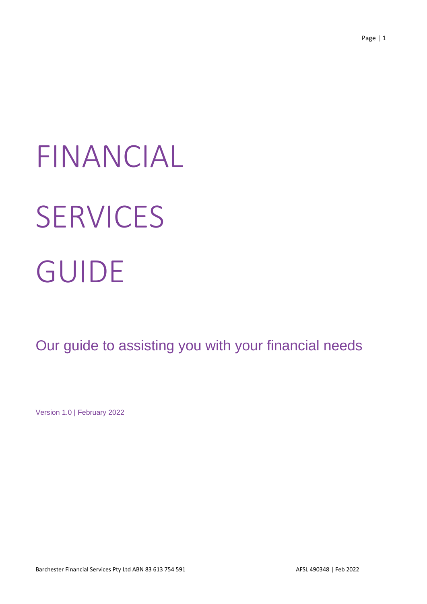# FINANCIAL **SERVICES** GUIDE

Our guide to assisting you with your financial needs

Version 1.0 | February 2022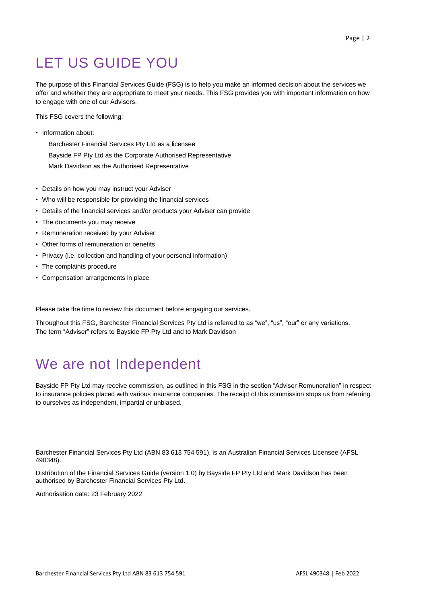# LET US GUIDE YOU

The purpose of this Financial Services Guide (FSG) is to help you make an informed decision about the services we offer and whether they are appropriate to meet your needs. This FSG provides you with important information on how to engage with one of our Advisers.

This FSG covers the following:

• Information about:

Barchester Financial Services Pty Ltd as a licensee Bayside FP Pty Ltd as the Corporate Authorised Representative Mark Davidson as the Authorised Representative

- Details on how you may instruct your Adviser
- Who will be responsible for providing the financial services
- Details of the financial services and/or products your Adviser can provide
- The documents you may receive
- Remuneration received by your Adviser
- Other forms of remuneration or benefits
- Privacy (i.e. collection and handling of your personal information)
- The complaints procedure
- Compensation arrangements in place

Please take the time to review this document before engaging our services.

Throughout this FSG, Barchester Financial Services Pty Ltd is referred to as "we", "us", "our" or any variations. The term "Adviser" refers to Bayside FP Pty Ltd and to Mark Davidson

# We are not Independent

Bayside FP Pty Ltd may receive commission, as outlined in this FSG in the section "Adviser Remuneration" in respect to insurance policies placed with various insurance companies. The receipt of this commission stops us from referring to ourselves as independent, impartial or unbiased.

Barchester Financial Services Pty Ltd (ABN 83 613 754 591), is an Australian Financial Services Licensee (AFSL 490348).

Distribution of the Financial Services Guide (version 1.0) by Bayside FP Pty Ltd and Mark Davidson has been authorised by Barchester Financial Services Pty Ltd.

Authorisation date: 23 February 2022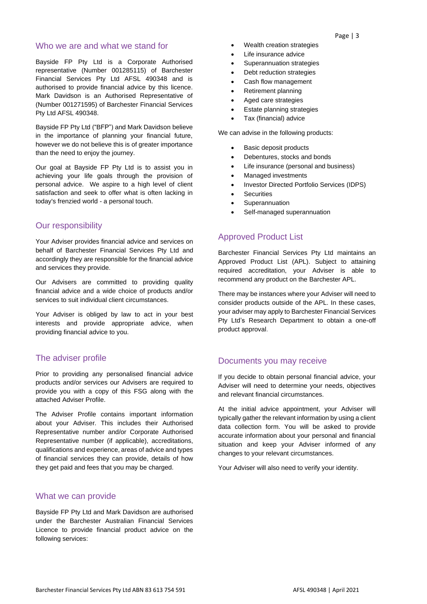#### Who we are and what we stand for

Bayside FP Pty Ltd is a Corporate Authorised representative (Number 001285115) of Barchester Financial Services Pty Ltd AFSL 490348 and is authorised to provide financial advice by this licence. Mark Davidson is an Authorised Representative of (Number 001271595) of Barchester Financial Services Pty Ltd AFSL 490348.

Bayside FP Pty Ltd ("BFP") and Mark Davidson believe in the importance of planning your financial future, however we do not believe this is of greater importance than the need to enjoy the journey.

Our goal at Bayside FP Pty Ltd is to assist you in achieving your life goals through the provision of personal advice. We aspire to a high level of client satisfaction and seek to offer what is often lacking in today's frenzied world - a personal touch.

#### Our responsibility

Your Adviser provides financial advice and services on behalf of Barchester Financial Services Pty Ltd and accordingly they are responsible for the financial advice and services they provide.

Our Advisers are committed to providing quality financial advice and a wide choice of products and/or services to suit individual client circumstances.

Your Adviser is obliged by law to act in your best interests and provide appropriate advice, when providing financial advice to you.

#### The adviser profile

Prior to providing any personalised financial advice products and/or services our Advisers are required to provide you with a copy of this FSG along with the attached Adviser Profile.

The Adviser Profile contains important information about your Adviser. This includes their Authorised Representative number and/or Corporate Authorised Representative number (if applicable), accreditations, qualifications and experience, areas of advice and types of financial services they can provide, details of how they get paid and fees that you may be charged.

#### What we can provide

Bayside FP Pty Ltd and Mark Davidson are authorised under the Barchester Australian Financial Services Licence to provide financial product advice on the following services:

- Wealth creation strategies
- Life insurance advice
- Superannuation strategies
- Debt reduction strategies
- Cash flow management
- Retirement planning
- Aged care strategies
- **Estate planning strategies**
- Tax (financial) advice

We can advise in the following products:

- Basic deposit products
- Debentures, stocks and bonds
- Life insurance (personal and business)
- Managed investments
- Investor Directed Portfolio Services (IDPS)
- **Securities**
- **Superannuation**
- Self-managed superannuation

#### Approved Product List

Barchester Financial Services Pty Ltd maintains an Approved Product List (APL). Subject to attaining required accreditation, your Adviser is able to recommend any product on the Barchester APL.

There may be instances where your Adviser will need to consider products outside of the APL. In these cases, your adviser may apply to Barchester Financial Services Pty Ltd's Research Department to obtain a one-off product approval.

#### Documents you may receive

If you decide to obtain personal financial advice, your Adviser will need to determine your needs, objectives and relevant financial circumstances.

At the initial advice appointment, your Adviser will typically gather the relevant information by using a client data collection form. You will be asked to provide accurate information about your personal and financial situation and keep your Adviser informed of any changes to your relevant circumstances.

Your Adviser will also need to verify your identity.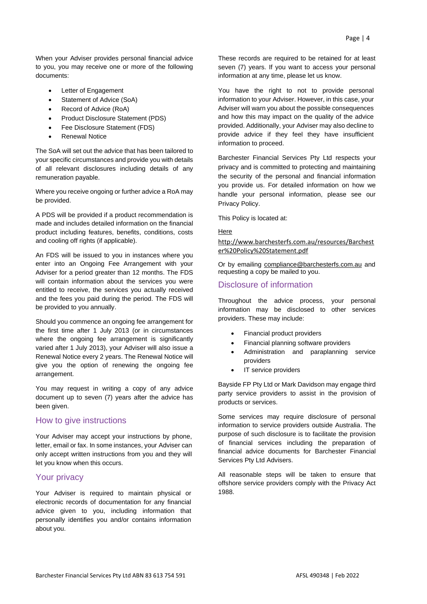When your Adviser provides personal financial advice to you, you may receive one or more of the following documents:

- Letter of Engagement
- Statement of Advice (SoA)
- Record of Advice (RoA)
- Product Disclosure Statement (PDS)
- Fee Disclosure Statement (FDS)
- Renewal Notice

The SoA will set out the advice that has been tailored to your specific circumstances and provide you with details of all relevant disclosures including details of any remuneration payable.

Where you receive ongoing or further advice a RoA may be provided.

A PDS will be provided if a product recommendation is made and includes detailed information on the financial product including features, benefits, conditions, costs and cooling off rights (if applicable).

An FDS will be issued to you in instances where you enter into an Ongoing Fee Arrangement with your Adviser for a period greater than 12 months. The FDS will contain information about the services you were entitled to receive, the services you actually received and the fees you paid during the period. The FDS will be provided to you annually.

Should you commence an ongoing fee arrangement for the first time after 1 July 2013 (or in circumstances where the ongoing fee arrangement is significantly varied after 1 July 2013), your Adviser will also issue a Renewal Notice every 2 years. The Renewal Notice will give you the option of renewing the ongoing fee arrangement.

You may request in writing a copy of any advice document up to seven (7) years after the advice has been given.

#### How to give instructions

Your Adviser may accept your instructions by phone, letter, email or fax. In some instances, your Adviser can only accept written instructions from you and they will let you know when this occurs.

#### Your privacy

Your Adviser is required to maintain physical or electronic records of documentation for any financial advice given to you, including information that personally identifies you and/or contains information about you.

These records are required to be retained for at least seven (7) years. If you want to access your personal information at any time, please let us know.

You have the right to not to provide personal information to your Adviser. However, in this case, your Adviser will warn you about the possible consequences and how this may impact on the quality of the advice provided. Additionally, your Adviser may also decline to provide advice if they feel they have insufficient information to proceed.

Barchester Financial Services Pty Ltd respects your privacy and is committed to protecting and maintaining the security of the personal and financial information you provide us. For detailed information on how we handle your personal information, please see our Privacy Policy.

This Policy is located at:

#### [Here](http://www.barchesterfs.com.au/resources/Barchester%20Policy%20Statement.pdf)

[http://www.barchesterfs.com.au/resources/Barchest](http://www.barchesterfs.com.au/resources/Barchester%20Policy%20Statement.pdf) [er%20Policy%20Statement.pdf](http://www.barchesterfs.com.au/resources/Barchester%20Policy%20Statement.pdf)

Or by emailing [compliance@barchesterfs.com.au](mailto:compliance@barchesterfs.com.au) and requesting a copy be mailed to you.

#### Disclosure of information

Throughout the advice process, your personal information may be disclosed to other services providers. These may include:

- Financial product providers
- Financial planning software providers
- Administration and paraplanning service providers
- IT service providers

Bayside FP Pty Ltd or Mark Davidson may engage third party service providers to assist in the provision of products or services.

Some services may require disclosure of personal information to service providers outside Australia. The purpose of such disclosure is to facilitate the provision of financial services including the preparation of financial advice documents for Barchester Financial Services Pty Ltd Advisers.

All reasonable steps will be taken to ensure that offshore service providers comply with the Privacy Act 1988.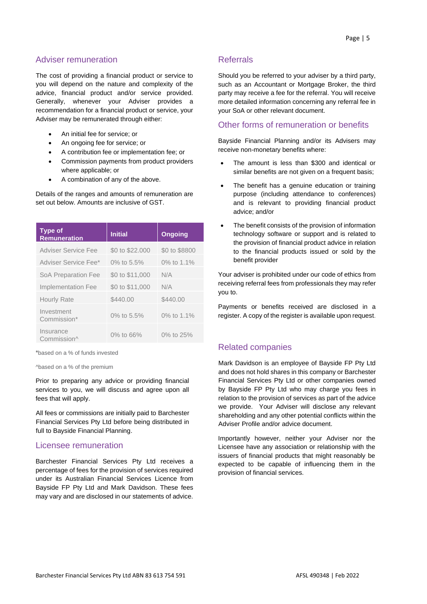#### Adviser remuneration

The cost of providing a financial product or service to you will depend on the nature and complexity of the advice, financial product and/or service provided. Generally, whenever your Adviser provides a recommendation for a financial product or service, your Adviser may be remunerated through either:

- An initial fee for service; or
- An ongoing fee for service; or
- A contribution fee or implementation fee; or
- Commission payments from product providers where applicable; or
- A combination of any of the above.

Details of the ranges and amounts of remuneration are set out below. Amounts are inclusive of GST.

| <b>Type of</b><br><b>Remuneration</b> | <b>Initial</b>  | <b>Ongoing</b> |
|---------------------------------------|-----------------|----------------|
| Adviser Service Fee                   | \$0 to \$22,000 | \$0 to \$8800  |
| Adviser Service Fee*                  | 0% to 5.5%      | 0% to 1.1%     |
| SoA Preparation Fee                   | \$0 to \$11,000 | N/A            |
| <b>Implementation Fee</b>             | \$0 to \$11,000 | N/A            |
| <b>Hourly Rate</b>                    | \$440.00        | \$440.00       |
| Investment<br>Commission*             | 0% to 5.5%      | 0% to 1.1%     |
| Insurance<br>Commission^              | 0% to 66%       | 0% to 25%      |

\*based on a % of funds invested

^based on a % of the premium

Prior to preparing any advice or providing financial services to you, we will discuss and agree upon all fees that will apply.

All fees or commissions are initially paid to Barchester Financial Services Pty Ltd before being distributed in full to Bayside Financial Planning.

#### Licensee remuneration

Barchester Financial Services Pty Ltd receives a percentage of fees for the provision of services required under its Australian Financial Services Licence from Bayside FP Pty Ltd and Mark Davidson. These fees may vary and are disclosed in our statements of advice.

#### Referrals

Should you be referred to your adviser by a third party, such as an Accountant or Mortgage Broker, the third party may receive a fee for the referral. You will receive more detailed information concerning any referral fee in your SoA or other relevant document.

#### Other forms of remuneration or benefits

Bayside Financial Planning and/or its Advisers may receive non-monetary benefits where:

- The amount is less than \$300 and identical or similar benefits are not given on a frequent basis;
- The benefit has a genuine education or training purpose (including attendance to conferences) and is relevant to providing financial product advice; and/or
- The benefit consists of the provision of information technology software or support and is related to the provision of financial product advice in relation to the financial products issued or sold by the benefit provider

Your adviser is prohibited under our code of ethics from receiving referral fees from professionals they may refer you to.

Payments or benefits received are disclosed in a register. A copy of the register is available upon request.

#### Related companies

Mark Davidson is an employee of Bayside FP Pty Ltd and does not hold shares in this company or Barchester Financial Services Pty Ltd or other companies owned by Bayside FP Pty Ltd who may charge you fees in relation to the provision of services as part of the advice we provide. Your Adviser will disclose any relevant shareholding and any other potential conflicts within the Adviser Profile and/or advice document.

Importantly however, neither your Adviser nor the Licensee have any association or relationship with the issuers of financial products that might reasonably be expected to be capable of influencing them in the provision of financial services.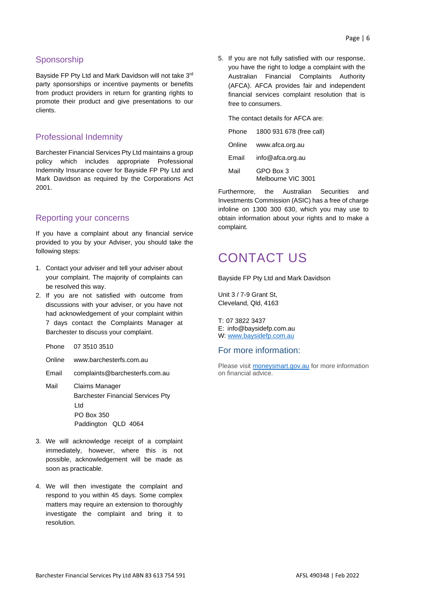#### **Sponsorship**

Bayside FP Pty Ltd and Mark Davidson will not take 3rd party sponsorships or incentive payments or benefits from product providers in return for granting rights to promote their product and give presentations to our clients.

#### Professional Indemnity

Barchester Financial Services Pty Ltd maintains a group policy which includes appropriate Professional Indemnity Insurance cover for Bayside FP Pty Ltd and Mark Davidson as required by the Corporations Act 2001.

#### Reporting your concerns

If you have a complaint about any financial service provided to you by your Adviser, you should take the following steps:

- 1. Contact your adviser and tell your adviser about your complaint. The majority of complaints can be resolved this way.
- 2. If you are not satisfied with outcome from discussions with your adviser, or you have not had acknowledgement of your complaint within 7 days contact the Complaints Manager at Barchester to discuss your complaint.

Phone 07 3510 3510

- Online www.barchesterfs.com.au
- Email complaints@barchesterfs.com.au
- Mail Claims Manager Barchester Financial Services Pty Ltd PO Box 350 Paddington QLD 4064
- 3. We will acknowledge receipt of a complaint immediately, however, where this is not possible, acknowledgement will be made as soon as practicable.
- 4. We will then investigate the complaint and respond to you within 45 days. Some complex matters may require an extension to thoroughly investigate the complaint and bring it to resolution.

5. If you are not fully satisfied with our response, you have the right to lodge a complaint with the Australian Financial Complaints Authority (AFCA). AFCA provides fair and independent financial services complaint resolution that is free to consumers.

The contact details for AFCA are: Phone 1800 931 678 (free call)

| Online | www.afca.org.au |
|--------|-----------------|
|        |                 |

| Email | info@afca.org.au |
|-------|------------------|
| Mail  | GPO Box 3        |

Melbourne VIC 3001

Furthermore, the Australian Securities and Investments Commission (ASIC) has a free of charge infoline on 1300 300 630, which you may use to obtain information about your rights and to make a complaint.

## CONTACT US

Bayside FP Pty Ltd and Mark Davidson

Unit 3 / 7-9 Grant St, Cleveland, Qld, 4163

T: 07 3822 3437 E: info@baysidefp.com.au W[: www.baysidefp.com.au](file:///C:/Users/GraemeC/Downloads/www.baysidefp.com.au)

#### For more information:

Please visit [moneysmart.gov.au](file:///C:/Users/GraemeC/AppData/Local/Microsoft/Windows/Temporary%20Internet%20Files/Content.Outlook/L2DSI6RT/moneysmart.gov.au) for more information on financial advice.